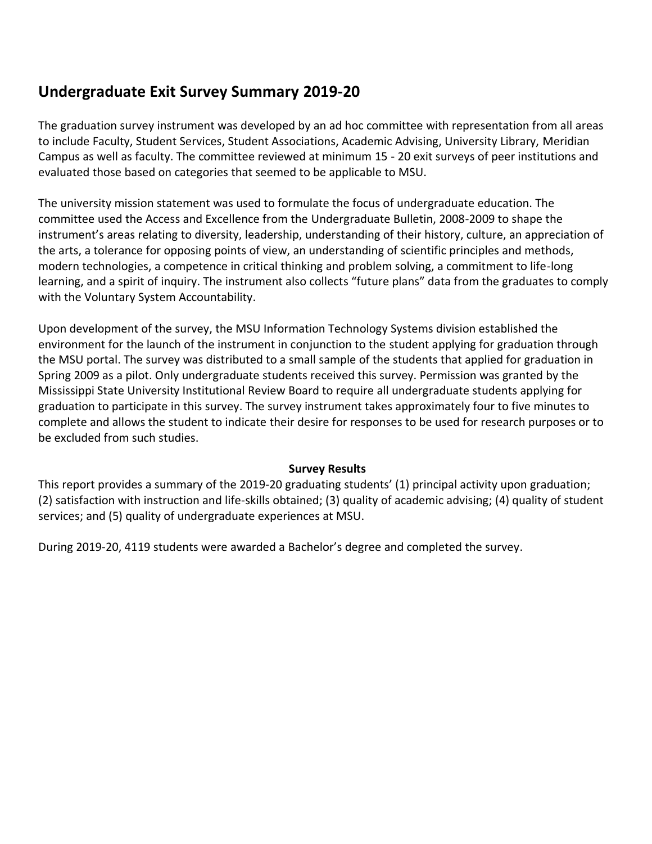# **Undergraduate Exit Survey Summary 2019-20**

The graduation survey instrument was developed by an ad hoc committee with representation from all areas to include Faculty, Student Services, Student Associations, Academic Advising, University Library, Meridian Campus as well as faculty. The committee reviewed at minimum 15 - 20 exit surveys of peer institutions and evaluated those based on categories that seemed to be applicable to MSU.

The university mission statement was used to formulate the focus of undergraduate education. The committee used the Access and Excellence from the Undergraduate Bulletin, 2008-2009 to shape the instrument's areas relating to diversity, leadership, understanding of their history, culture, an appreciation of the arts, a tolerance for opposing points of view, an understanding of scientific principles and methods, modern technologies, a competence in critical thinking and problem solving, a commitment to life-long learning, and a spirit of inquiry. The instrument also collects "future plans" data from the graduates to comply with the Voluntary System Accountability.

Upon development of the survey, the MSU Information Technology Systems division established the environment for the launch of the instrument in conjunction to the student applying for graduation through the MSU portal. The survey was distributed to a small sample of the students that applied for graduation in Spring 2009 as a pilot. Only undergraduate students received this survey. Permission was granted by the Mississippi State University Institutional Review Board to require all undergraduate students applying for graduation to participate in this survey. The survey instrument takes approximately four to five minutes to complete and allows the student to indicate their desire for responses to be used for research purposes or to be excluded from such studies.

# **Survey Results**

This report provides a summary of the 2019-20 graduating students' (1) principal activity upon graduation; (2) satisfaction with instruction and life-skills obtained; (3) quality of academic advising; (4) quality of student services; and (5) quality of undergraduate experiences at MSU.

During 2019-20, 4119 students were awarded a Bachelor's degree and completed the survey.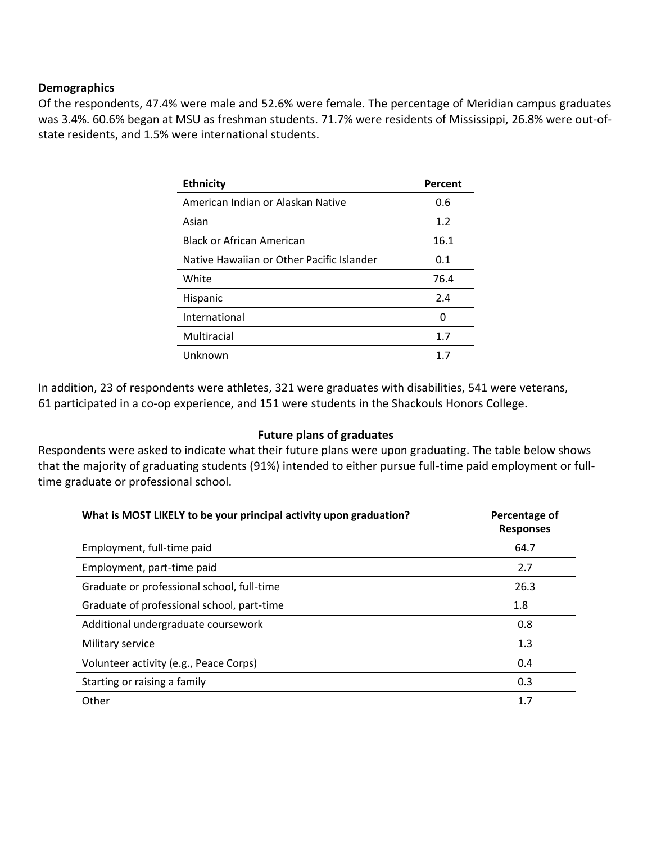#### **Demographics**

Of the respondents, 47.4% were male and 52.6% were female. The percentage of Meridian campus graduates was 3.4%. 60.6% began at MSU as freshman students. 71.7% were residents of Mississippi, 26.8% were out-ofstate residents, and 1.5% were international students.

| <b>Ethnicity</b>                          | Percent |
|-------------------------------------------|---------|
| American Indian or Alaskan Native         | 0.6     |
| Asian                                     | 1.2     |
| Black or African American                 | 16.1    |
| Native Hawaiian or Other Pacific Islander | 0.1     |
| White                                     | 76.4    |
| Hispanic                                  | 2.4     |
| International                             | ŋ       |
| Multiracial                               | 1.7     |
| Unknown                                   | 17      |

In addition, 23 of respondents were athletes, 321 were graduates with disabilities, 541 were veterans, 61 participated in a co-op experience, and 151 were students in the Shackouls Honors College.

#### **Future plans of graduates**

Respondents were asked to indicate what their future plans were upon graduating. The table below shows that the majority of graduating students (91%) intended to either pursue full-time paid employment or fulltime graduate or professional school.

| What is MOST LIKELY to be your principal activity upon graduation? | Percentage of<br><b>Responses</b> |
|--------------------------------------------------------------------|-----------------------------------|
| Employment, full-time paid                                         | 64.7                              |
| Employment, part-time paid                                         | 2.7                               |
| Graduate or professional school, full-time                         | 26.3                              |
| Graduate of professional school, part-time                         | 1.8                               |
| Additional undergraduate coursework                                | 0.8                               |
| Military service                                                   | 1.3                               |
| Volunteer activity (e.g., Peace Corps)                             | 0.4                               |
| Starting or raising a family                                       | 0.3                               |
| Other                                                              | 1.7                               |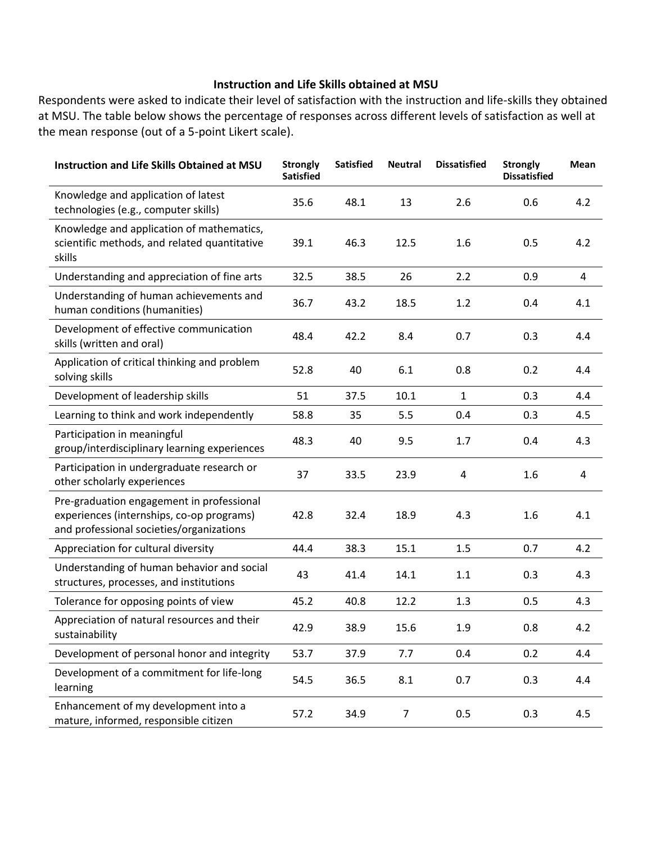# **Instruction and Life Skills obtained at MSU**

Respondents were asked to indicate their level of satisfaction with the instruction and life-skills they obtained at MSU. The table below shows the percentage of responses across different levels of satisfaction as well at the mean response (out of a 5-point Likert scale).

| <b>Instruction and Life Skills Obtained at MSU</b>                                                                                 | <b>Strongly</b><br><b>Satisfied</b> | <b>Satisfied</b> | <b>Neutral</b> | <b>Dissatisfied</b> | <b>Strongly</b><br><b>Dissatisfied</b> | Mean |
|------------------------------------------------------------------------------------------------------------------------------------|-------------------------------------|------------------|----------------|---------------------|----------------------------------------|------|
| Knowledge and application of latest<br>technologies (e.g., computer skills)                                                        | 35.6                                | 48.1             | 13             | 2.6                 | 0.6                                    | 4.2  |
| Knowledge and application of mathematics,<br>scientific methods, and related quantitative<br>skills                                | 39.1                                | 46.3             | 12.5           | 1.6                 | 0.5                                    | 4.2  |
| Understanding and appreciation of fine arts                                                                                        | 32.5                                | 38.5             | 26             | 2.2                 | 0.9                                    | 4    |
| Understanding of human achievements and<br>human conditions (humanities)                                                           | 36.7                                | 43.2             | 18.5           | 1.2                 | 0.4                                    | 4.1  |
| Development of effective communication<br>skills (written and oral)                                                                | 48.4                                | 42.2             | 8.4            | 0.7                 | 0.3                                    | 4.4  |
| Application of critical thinking and problem<br>solving skills                                                                     | 52.8                                | 40               | 6.1            | 0.8                 | 0.2                                    | 4.4  |
| Development of leadership skills                                                                                                   | 51                                  | 37.5             | 10.1           | $\mathbf{1}$        | 0.3                                    | 4.4  |
| Learning to think and work independently                                                                                           | 58.8                                | 35               | 5.5            | 0.4                 | 0.3                                    | 4.5  |
| Participation in meaningful<br>group/interdisciplinary learning experiences                                                        | 48.3                                | 40               | 9.5            | 1.7                 | 0.4                                    | 4.3  |
| Participation in undergraduate research or<br>other scholarly experiences                                                          | 37                                  | 33.5             | 23.9           | 4                   | 1.6                                    | 4    |
| Pre-graduation engagement in professional<br>experiences (internships, co-op programs)<br>and professional societies/organizations | 42.8                                | 32.4             | 18.9           | 4.3                 | 1.6                                    | 4.1  |
| Appreciation for cultural diversity                                                                                                | 44.4                                | 38.3             | 15.1           | 1.5                 | 0.7                                    | 4.2  |
| Understanding of human behavior and social<br>structures, processes, and institutions                                              | 43                                  | 41.4             | 14.1           | 1.1                 | 0.3                                    | 4.3  |
| Tolerance for opposing points of view                                                                                              | 45.2                                | 40.8             | 12.2           | 1.3                 | 0.5                                    | 4.3  |
| Appreciation of natural resources and their<br>sustainability                                                                      | 42.9                                | 38.9             | 15.6           | 1.9                 | 0.8                                    | 4.2  |
| Development of personal honor and integrity                                                                                        | 53.7                                | 37.9             | 7.7            | 0.4                 | 0.2                                    | 4.4  |
| Development of a commitment for life-long<br>learning                                                                              | 54.5                                | 36.5             | 8.1            | 0.7                 | 0.3                                    | 4.4  |
| Enhancement of my development into a<br>mature, informed, responsible citizen                                                      | 57.2                                | 34.9             | $\overline{7}$ | 0.5                 | 0.3                                    | 4.5  |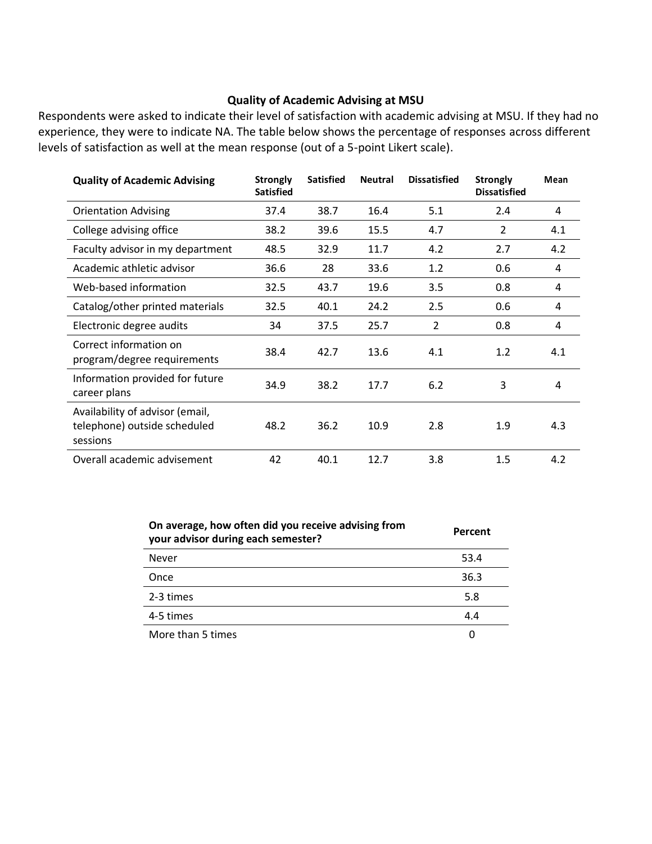#### **Quality of Academic Advising at MSU**

Respondents were asked to indicate their level of satisfaction with academic advising at MSU. If they had no experience, they were to indicate NA. The table below shows the percentage of responses across different levels of satisfaction as well at the mean response (out of a 5-point Likert scale).

| <b>Quality of Academic Advising</b>                                         | <b>Strongly</b><br><b>Satisfied</b> | <b>Satisfied</b> | <b>Neutral</b> | <b>Dissatisfied</b> | <b>Strongly</b><br><b>Dissatisfied</b> | Mean |
|-----------------------------------------------------------------------------|-------------------------------------|------------------|----------------|---------------------|----------------------------------------|------|
| <b>Orientation Advising</b>                                                 | 37.4                                | 38.7             | 16.4           | 5.1                 | 2.4                                    | 4    |
| College advising office                                                     | 38.2                                | 39.6             | 15.5           | 4.7                 | $\overline{2}$                         | 4.1  |
| Faculty advisor in my department                                            | 48.5                                | 32.9             | 11.7           | 4.2                 | 2.7                                    | 4.2  |
| Academic athletic advisor                                                   | 36.6                                | 28               | 33.6           | 1.2                 | 0.6                                    | 4    |
| Web-based information                                                       | 32.5                                | 43.7             | 19.6           | 3.5                 | 0.8                                    | 4    |
| Catalog/other printed materials                                             | 32.5                                | 40.1             | 24.2           | 2.5                 | 0.6                                    | 4    |
| Electronic degree audits                                                    | 34                                  | 37.5             | 25.7           | $\overline{2}$      | 0.8                                    | 4    |
| Correct information on<br>program/degree requirements                       | 38.4                                | 42.7             | 13.6           | 4.1                 | 1.2                                    | 4.1  |
| Information provided for future<br>career plans                             | 34.9                                | 38.2             | 17.7           | 6.2                 | 3                                      | 4    |
| Availability of advisor (email,<br>telephone) outside scheduled<br>sessions | 48.2                                | 36.2             | 10.9           | 2.8                 | 1.9                                    | 4.3  |
| Overall academic advisement                                                 | 42                                  | 40.1             | 12.7           | 3.8                 | 1.5                                    | 4.2  |

| On average, how often did you receive advising from<br>your advisor during each semester? | Percent |  |  |
|-------------------------------------------------------------------------------------------|---------|--|--|
| Never                                                                                     | 53.4    |  |  |
| Once                                                                                      | 36.3    |  |  |
| 2-3 times                                                                                 | 5.8     |  |  |
| 4-5 times                                                                                 | 4.4     |  |  |
| More than 5 times                                                                         |         |  |  |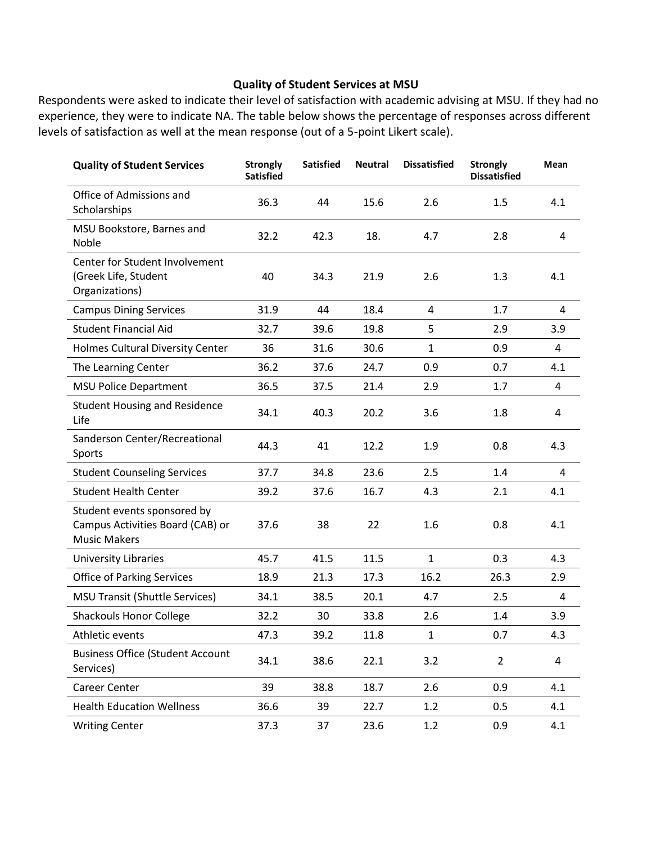# **Quality of Student Services at MSU**

Respondents were asked to indicate their level of satisfaction with academic advising at MSU. If they had no experience, they were to indicate NA. The table below shows the percentage of responses across different levels of satisfaction as well at the mean response (out of a 5-point Likert scale).

| <b>Quality of Student Services</b>                                                     | <b>Strongly</b><br><b>Satisfied</b> | <b>Satisfied</b> | <b>Neutral</b> | <b>Dissatisfied</b> | <b>Strongly</b><br><b>Dissatisfied</b> | Mean           |
|----------------------------------------------------------------------------------------|-------------------------------------|------------------|----------------|---------------------|----------------------------------------|----------------|
| Office of Admissions and<br>Scholarships                                               | 36.3                                | 44               | 15.6           | 2.6                 | 1.5                                    | 4.1            |
| MSU Bookstore, Barnes and<br>Noble                                                     | 32.2                                | 42.3             | 18.            | 4.7                 | 2.8                                    | 4              |
| Center for Student Involvement<br>(Greek Life, Student<br>Organizations)               | 40                                  | 34.3             | 21.9           | 2.6                 | 1.3                                    | 4.1            |
| <b>Campus Dining Services</b>                                                          | 31.9                                | 44               | 18.4           | 4                   | 1.7                                    | 4              |
| <b>Student Financial Aid</b>                                                           | 32.7                                | 39.6             | 19.8           | 5                   | 2.9                                    | 3.9            |
| <b>Holmes Cultural Diversity Center</b>                                                | 36                                  | 31.6             | 30.6           | $\mathbf{1}$        | 0.9                                    | 4              |
| The Learning Center                                                                    | 36.2                                | 37.6             | 24.7           | 0.9                 | 0.7                                    | 4.1            |
| <b>MSU Police Department</b>                                                           | 36.5                                | 37.5             | 21.4           | 2.9                 | 1.7                                    | $\overline{4}$ |
| <b>Student Housing and Residence</b><br>Life                                           | 34.1                                | 40.3             | 20.2           | 3.6                 | 1.8                                    | 4              |
| Sanderson Center/Recreational<br>Sports                                                | 44.3                                | 41               | 12.2           | 1.9                 | 0.8                                    | 4.3            |
| <b>Student Counseling Services</b>                                                     | 37.7                                | 34.8             | 23.6           | 2.5                 | 1.4                                    | 4              |
| <b>Student Health Center</b>                                                           | 39.2                                | 37.6             | 16.7           | 4.3                 | 2.1                                    | 4.1            |
| Student events sponsored by<br>Campus Activities Board (CAB) or<br><b>Music Makers</b> | 37.6                                | 38               | 22             | 1.6                 | 0.8                                    | 4.1            |
| University Libraries                                                                   | 45.7                                | 41.5             | 11.5           | $\mathbf{1}$        | 0.3                                    | 4.3            |
| <b>Office of Parking Services</b>                                                      | 18.9                                | 21.3             | 17.3           | 16.2                | 26.3                                   | 2.9            |
| <b>MSU Transit (Shuttle Services)</b>                                                  | 34.1                                | 38.5             | 20.1           | 4.7                 | 2.5                                    | 4              |
| <b>Shackouls Honor College</b>                                                         | 32.2                                | 30               | 33.8           | 2.6                 | 1.4                                    | 3.9            |
| Athletic events                                                                        | 47.3                                | 39.2             | 11.8           | $\mathbf{1}$        | 0.7                                    | 4.3            |
| <b>Business Office (Student Account</b><br>Services)                                   | 34.1                                | 38.6             | 22.1           | 3.2                 | $\overline{2}$                         | $\overline{a}$ |
| Career Center                                                                          | 39                                  | 38.8             | 18.7           | 2.6                 | 0.9                                    | 4.1            |
| <b>Health Education Wellness</b>                                                       | 36.6                                | 39               | 22.7           | 1.2                 | 0.5                                    | 4.1            |
| <b>Writing Center</b>                                                                  | 37.3                                | 37               | 23.6           | 1.2                 | 0.9                                    | 4.1            |